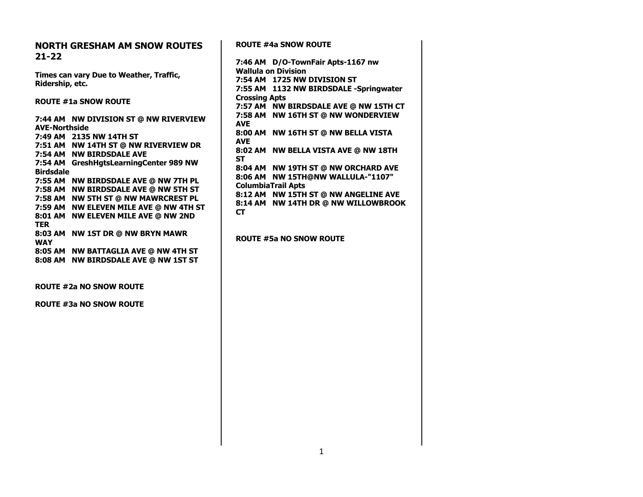| <b>NORTH GRESHAM AM SNOW ROUTES</b>     | <b>ROUTE #4a SNOW ROUTE</b>            |
|-----------------------------------------|----------------------------------------|
| $21 - 22$                               |                                        |
|                                         | 7:46 AM D/O-TownFair Apts-1167 nw      |
| Times can vary Due to Weather, Traffic, | <b>Wallula on Division</b>             |
| Ridership, etc.                         | 7:54 AM 1725 NW DIVISION ST            |
|                                         | 7:55 AM 1132 NW BIRDSDALE -Springwater |
| <b>ROUTE #1a SNOW ROUTE</b>             | <b>Crossing Apts</b>                   |
|                                         | 7:57 AM NW BIRDSDALE AVE @ NW 15TH CT  |
| 7:44 AM NW DIVISION ST @ NW RIVERVIEW   | 7:58 AM NW 16TH ST @ NW WONDERVIEW     |
| <b>AVE-Northside</b>                    | <b>AVE</b>                             |
| 7:49 AM 2135 NW 14TH ST                 | 8:00 AM NW 16TH ST @ NW BELLA VISTA    |
| 7:51 AM NW 14TH ST @ NW RIVERVIEW DR    | <b>AVE</b>                             |
| 7:54 AM NW BIRDSDALE AVE                | 8:02 AM NW BELLA VISTA AVE @ NW 18TH   |
| 7:54 AM GreshHgtsLearningCenter 989 NW  | <b>ST</b>                              |
| <b>Birdsdale</b>                        | 8:04 AM NW 19TH ST @ NW ORCHARD AVE    |
| 7:55 AM NW BIRDSDALE AVE @ NW 7TH PL    | 8:06 AM NW 15TH@NW WALLULA-"1107"      |
| 7:58 AM NW BIRDSDALE AVE @ NW 5TH ST    | <b>ColumbiaTrail Apts</b>              |
| 7:58 AM NW 5TH ST @ NW MAWRCREST PL     | 8:12 AM NW 15TH ST @ NW ANGELINE AVE   |
| 7:59 AM NW ELEVEN MILE AVE @ NW 4TH ST  | 8:14 AM NW 14TH DR @ NW WILLOWBROOK    |
| 8:01 AM NW ELEVEN MILE AVE @ NW 2ND     | <b>CT</b>                              |
| <b>TER</b>                              |                                        |
| 8:03 AM NW 1ST DR @ NW BRYN MAWR        |                                        |
| <b>WAY</b>                              | <b>ROUTE #5a NO SNOW ROUTE</b>         |
| 8:05 AM NW BATTAGLIA AVE @ NW 4TH ST    |                                        |
| 8:08 AM NW BIRDSDALE AVE @ NW 1ST ST    |                                        |
|                                         |                                        |
|                                         |                                        |
| <b>ROUTE #2a NO SNOW ROUTE</b>          |                                        |
|                                         |                                        |
| <b>ROUTE #3a NO SNOW ROUTE</b>          |                                        |
|                                         |                                        |
|                                         |                                        |
|                                         |                                        |
|                                         |                                        |
|                                         |                                        |
|                                         |                                        |
|                                         |                                        |
|                                         |                                        |
|                                         |                                        |
|                                         |                                        |
|                                         |                                        |
|                                         |                                        |
|                                         |                                        |
|                                         |                                        |

1